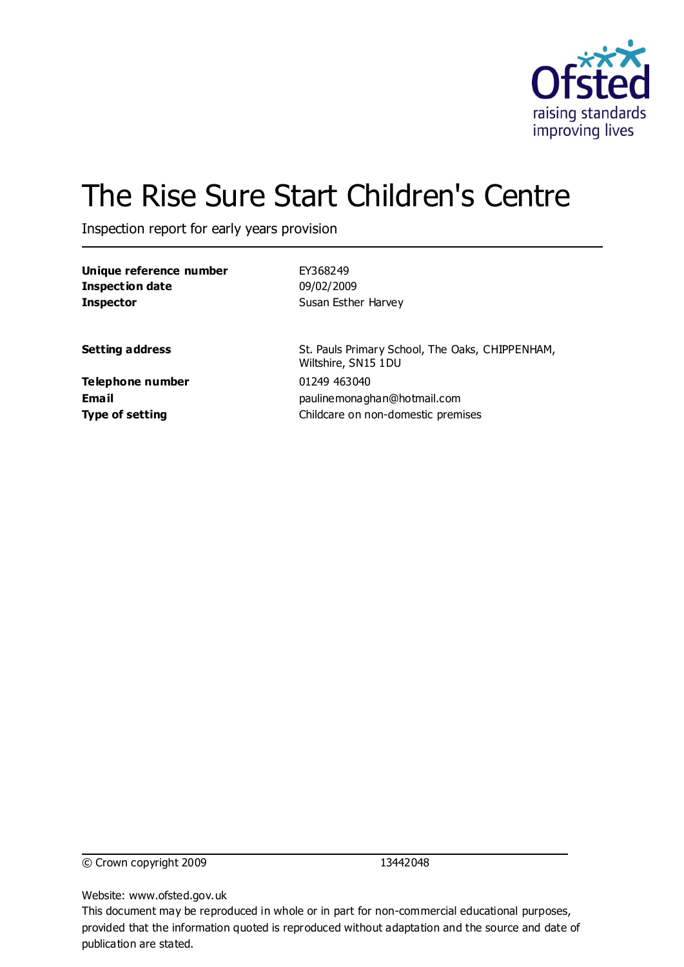

# The Rise Sure Start Children's Centre

Inspection report for early years provision

| Unique reference number | EY368249                                                               |
|-------------------------|------------------------------------------------------------------------|
| <b>Inspection date</b>  | 09/02/2009                                                             |
| <b>Inspector</b>        | Susan Esther Harvey                                                    |
| <b>Setting address</b>  | St. Pauls Primary School, The Oaks, CHIPPENHAM,<br>Wiltshire, SN15 1DU |
| Telephone number        | 01249 463040                                                           |
| <b>Email</b>            | paulinemonaghan@hotmail.com                                            |
| <b>Type of setting</b>  | Childcare on non-domestic premises                                     |

© Crown copyright 2009 13442048

Website: www.ofsted.gov.uk

This document may be reproduced in whole or in part for non-commercial educational purposes, provided that the information quoted is reproduced without adaptation and the source and date of publication are stated.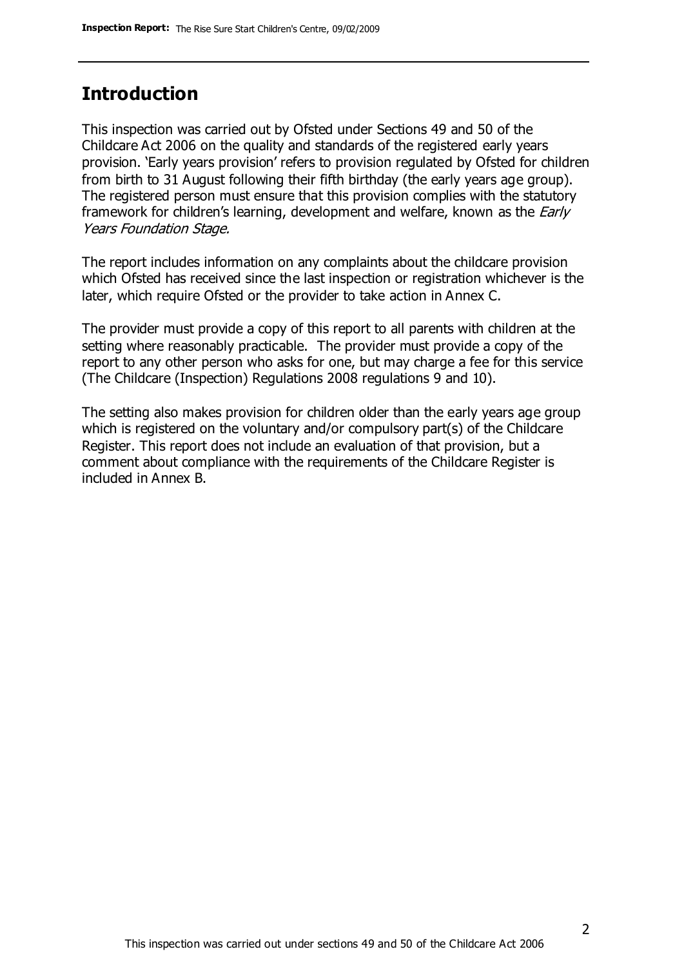### **Introduction**

This inspection was carried out by Ofsted under Sections 49 and 50 of the Childcare Act 2006 on the quality and standards of the registered early years provision. 'Early years provision' refers to provision regulated by Ofsted for children from birth to 31 August following their fifth birthday (the early years age group). The registered person must ensure that this provision complies with the statutory framework for children's learning, development and welfare, known as the *Early* Years Foundation Stage.

The report includes information on any complaints about the childcare provision which Ofsted has received since the last inspection or registration whichever is the later, which require Ofsted or the provider to take action in Annex C.

The provider must provide a copy of this report to all parents with children at the setting where reasonably practicable. The provider must provide a copy of the report to any other person who asks for one, but may charge a fee for this service (The Childcare (Inspection) Regulations 2008 regulations 9 and 10).

The setting also makes provision for children older than the early years age group which is registered on the voluntary and/or compulsory part(s) of the Childcare Register. This report does not include an evaluation of that provision, but a comment about compliance with the requirements of the Childcare Register is included in Annex B.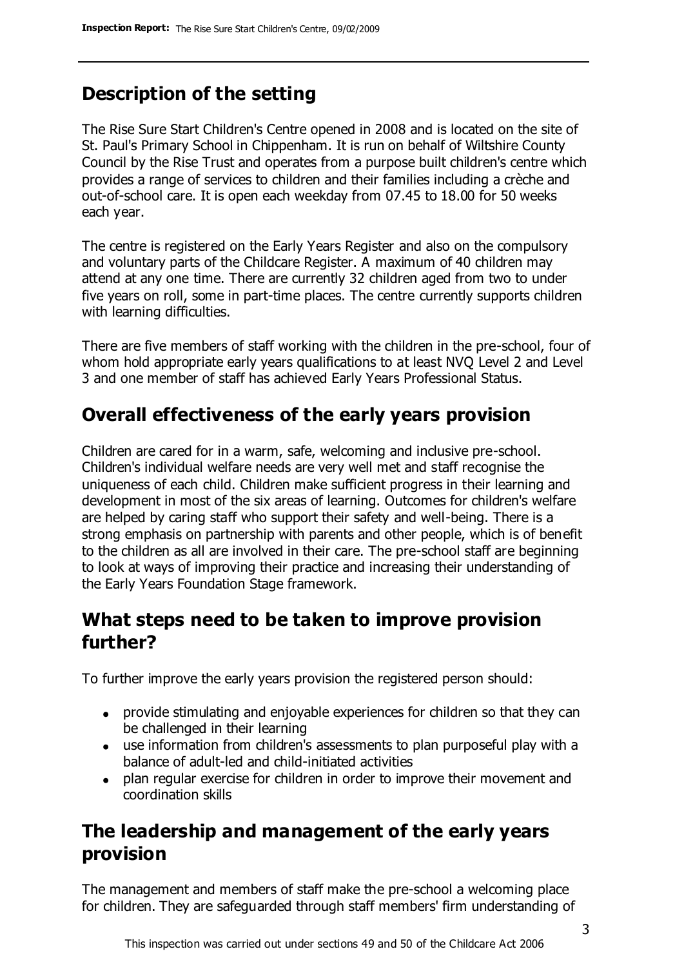# **Description of the setting**

The Rise Sure Start Children's Centre opened in 2008 and is located on the site of St. Paul's Primary School in Chippenham. It is run on behalf of Wiltshire County Council by the Rise Trust and operates from a purpose built children's centre which provides a range of services to children and their families including a crèche and out-of-school care. It is open each weekday from 07.45 to 18.00 for 50 weeks each year.

The centre is registered on the Early Years Register and also on the compulsory and voluntary parts of the Childcare Register. A maximum of 40 children may attend at any one time. There are currently 32 children aged from two to under five years on roll, some in part-time places. The centre currently supports children with learning difficulties.

There are five members of staff working with the children in the pre-school, four of whom hold appropriate early years qualifications to at least NVQ Level 2 and Level 3 and one member of staff has achieved Early Years Professional Status.

# **Overall effectiveness of the early years provision**

Children are cared for in a warm, safe, welcoming and inclusive pre-school. Children's individual welfare needs are very well met and staff recognise the uniqueness of each child. Children make sufficient progress in their learning and development in most of the six areas of learning. Outcomes for children's welfare are helped by caring staff who support their safety and well-being. There is a strong emphasis on partnership with parents and other people, which is of benefit to the children as all are involved in their care. The pre-school staff are beginning to look at ways of improving their practice and increasing their understanding of the Early Years Foundation Stage framework.

### **What steps need to be taken to improve provision further?**

To further improve the early years provision the registered person should:

- provide stimulating and enjoyable experiences for children so that they can be challenged in their learning
- use information from children's assessments to plan purposeful play with a balance of adult-led and child-initiated activities
- plan regular exercise for children in order to improve their movement and coordination skills

# **The leadership and management of the early years provision**

The management and members of staff make the pre-school a welcoming place for children. They are safeguarded through staff members' firm understanding of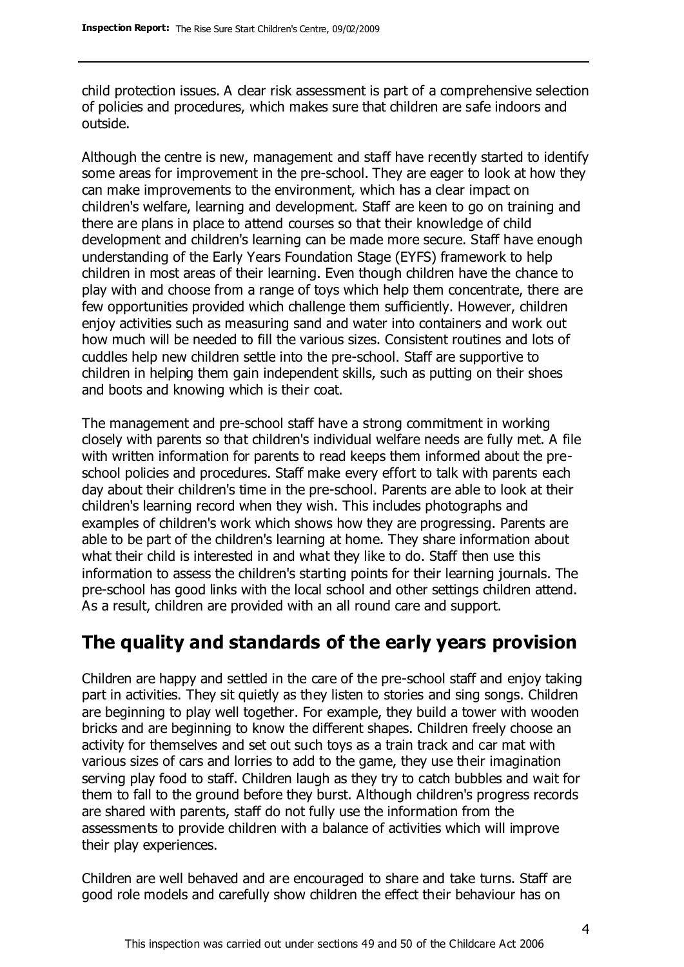child protection issues. A clear risk assessment is part of a comprehensive selection of policies and procedures, which makes sure that children are safe indoors and outside.

Although the centre is new, management and staff have recently started to identify some areas for improvement in the pre-school. They are eager to look at how they can make improvements to the environment, which has a clear impact on children's welfare, learning and development. Staff are keen to go on training and there are plans in place to attend courses so that their knowledge of child development and children's learning can be made more secure. Staff have enough understanding of the Early Years Foundation Stage (EYFS) framework to help children in most areas of their learning. Even though children have the chance to play with and choose from a range of toys which help them concentrate, there are few opportunities provided which challenge them sufficiently. However, children enjoy activities such as measuring sand and water into containers and work out how much will be needed to fill the various sizes. Consistent routines and lots of cuddles help new children settle into the pre-school. Staff are supportive to children in helping them gain independent skills, such as putting on their shoes and boots and knowing which is their coat.

The management and pre-school staff have a strong commitment in working closely with parents so that children's individual welfare needs are fully met. A file with written information for parents to read keeps them informed about the preschool policies and procedures. Staff make every effort to talk with parents each day about their children's time in the pre-school. Parents are able to look at their children's learning record when they wish. This includes photographs and examples of children's work which shows how they are progressing. Parents are able to be part of the children's learning at home. They share information about what their child is interested in and what they like to do. Staff then use this information to assess the children's starting points for their learning journals. The pre-school has good links with the local school and other settings children attend. As a result, children are provided with an all round care and support.

# **The quality and standards of the early years provision**

Children are happy and settled in the care of the pre-school staff and enjoy taking part in activities. They sit quietly as they listen to stories and sing songs. Children are beginning to play well together. For example, they build a tower with wooden bricks and are beginning to know the different shapes. Children freely choose an activity for themselves and set out such toys as a train track and car mat with various sizes of cars and lorries to add to the game, they use their imagination serving play food to staff. Children laugh as they try to catch bubbles and wait for them to fall to the ground before they burst. Although children's progress records are shared with parents, staff do not fully use the information from the assessments to provide children with a balance of activities which will improve their play experiences.

Children are well behaved and are encouraged to share and take turns. Staff are good role models and carefully show children the effect their behaviour has on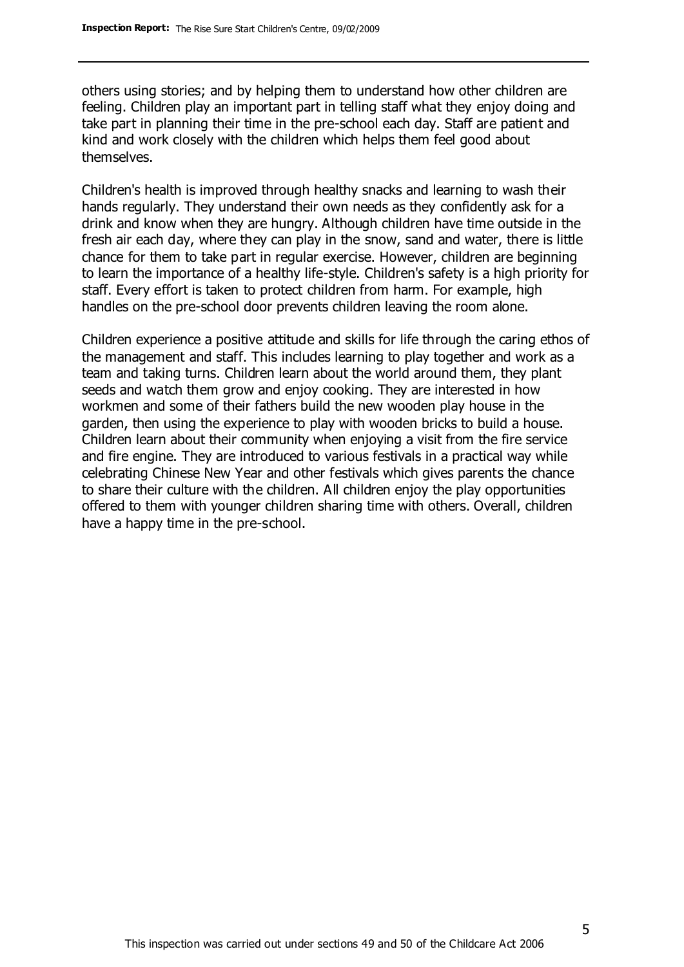others using stories; and by helping them to understand how other children are feeling. Children play an important part in telling staff what they enjoy doing and take part in planning their time in the pre-school each day. Staff are patient and kind and work closely with the children which helps them feel good about themselves.

Children's health is improved through healthy snacks and learning to wash their hands regularly. They understand their own needs as they confidently ask for a drink and know when they are hungry. Although children have time outside in the fresh air each day, where they can play in the snow, sand and water, there is little chance for them to take part in regular exercise. However, children are beginning to learn the importance of a healthy life-style. Children's safety is a high priority for staff. Every effort is taken to protect children from harm. For example, high handles on the pre-school door prevents children leaving the room alone.

Children experience a positive attitude and skills for life through the caring ethos of the management and staff. This includes learning to play together and work as a team and taking turns. Children learn about the world around them, they plant seeds and watch them grow and enjoy cooking. They are interested in how workmen and some of their fathers build the new wooden play house in the garden, then using the experience to play with wooden bricks to build a house. Children learn about their community when enjoying a visit from the fire service and fire engine. They are introduced to various festivals in a practical way while celebrating Chinese New Year and other festivals which gives parents the chance to share their culture with the children. All children enjoy the play opportunities offered to them with younger children sharing time with others. Overall, children have a happy time in the pre-school.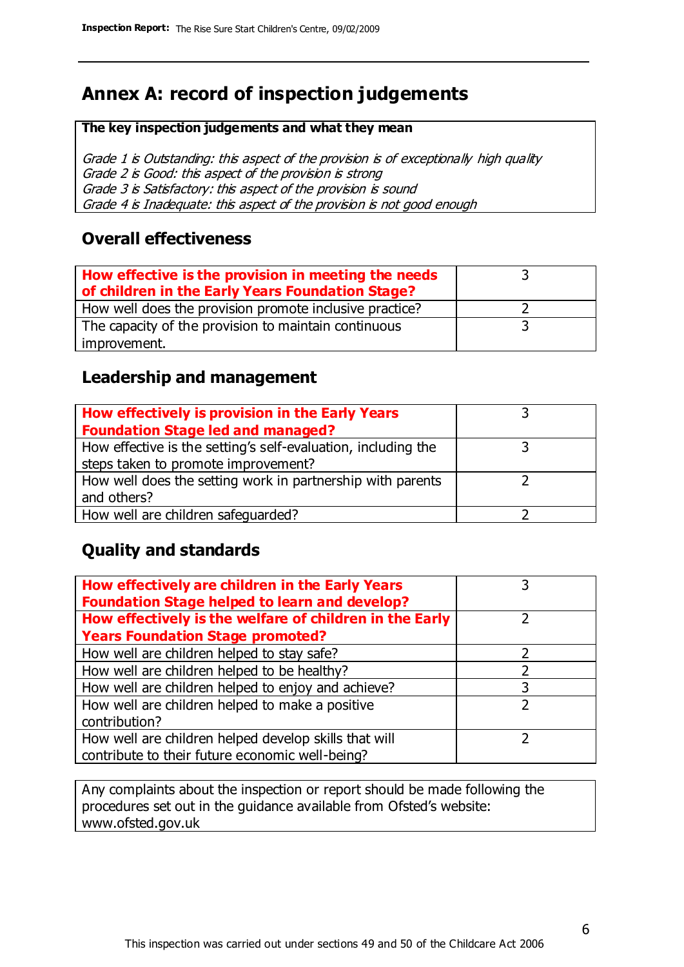# **Annex A: record of inspection judgements**

#### **The key inspection judgements and what they mean**

Grade 1 is Outstanding: this aspect of the provision is of exceptionally high quality Grade 2 is Good: this aspect of the provision is strong Grade 3 is Satisfactory: this aspect of the provision is sound Grade 4 is Inadequate: this aspect of the provision is not good enough

#### **Overall effectiveness**

| How effective is the provision in meeting the needs<br>of children in the Early Years Foundation Stage? |  |
|---------------------------------------------------------------------------------------------------------|--|
| How well does the provision promote inclusive practice?                                                 |  |
| The capacity of the provision to maintain continuous                                                    |  |
| improvement.                                                                                            |  |

### **Leadership and management**

| How effectively is provision in the Early Years               |  |
|---------------------------------------------------------------|--|
| <b>Foundation Stage led and managed?</b>                      |  |
| How effective is the setting's self-evaluation, including the |  |
| steps taken to promote improvement?                           |  |
| How well does the setting work in partnership with parents    |  |
| and others?                                                   |  |
| How well are children safequarded?                            |  |

### **Quality and standards**

| How effectively are children in the Early Years<br><b>Foundation Stage helped to learn and develop?</b> |   |
|---------------------------------------------------------------------------------------------------------|---|
| How effectively is the welfare of children in the Early                                                 |   |
| <b>Years Foundation Stage promoted?</b>                                                                 |   |
| How well are children helped to stay safe?                                                              | フ |
| How well are children helped to be healthy?                                                             |   |
| How well are children helped to enjoy and achieve?                                                      |   |
| How well are children helped to make a positive                                                         | 2 |
| contribution?                                                                                           |   |
| How well are children helped develop skills that will                                                   |   |
| contribute to their future economic well-being?                                                         |   |

Any complaints about the inspection or report should be made following the procedures set out in the guidance available from Ofsted's website: www.ofsted.gov.uk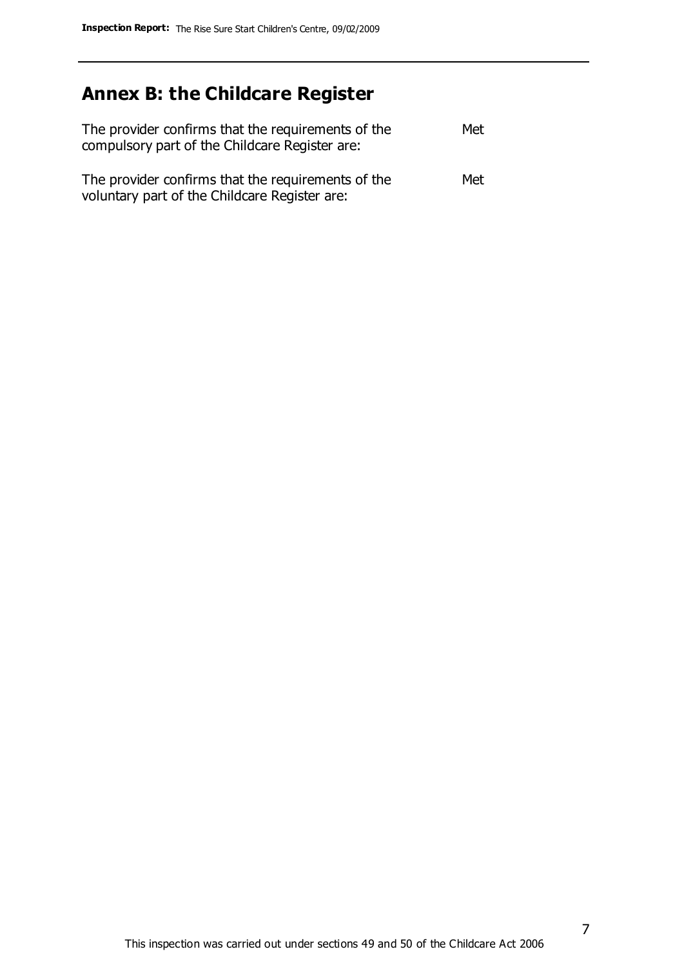# **Annex B: the Childcare Register**

| The provider confirms that the requirements of the<br>compulsory part of the Childcare Register are: | Met |
|------------------------------------------------------------------------------------------------------|-----|
| The provider confirms that the requirements of the<br>voluntary part of the Childcare Register are:  | Met |